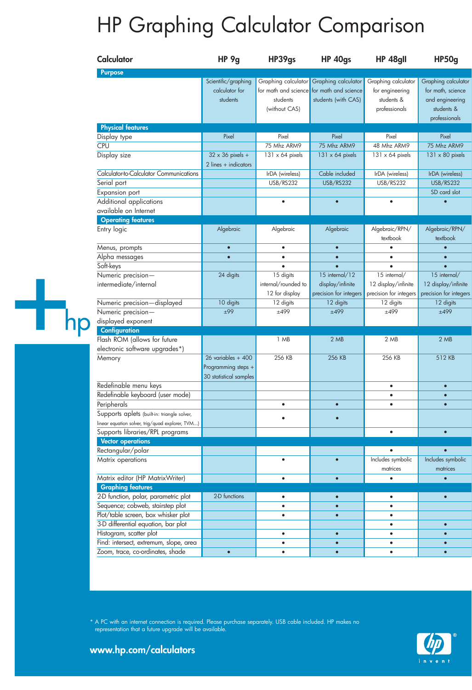## HP Graphing Calculator Comparison

|   | Calculator                                                  | HP 9g                   | HP39gs                 | <b>HP 40gs</b>                            | HP 48gll               | HP50g                  |
|---|-------------------------------------------------------------|-------------------------|------------------------|-------------------------------------------|------------------------|------------------------|
|   | <b>Purpose</b>                                              |                         |                        |                                           |                        |                        |
|   |                                                             | Scientific/graphing     |                        | Graphing calculator Graphing calculator   | Graphing calculator    | Graphing calculator    |
|   |                                                             | calculator for          |                        | for math and science for math and science | for engineering        | for math, science      |
|   |                                                             | students                | students               | students (with CAS)                       | students &             | and engineering        |
|   |                                                             |                         | (without CAS)          |                                           | professionals          | students &             |
|   |                                                             |                         |                        |                                           |                        | professionals          |
|   | <b>Physical features</b><br>Display type                    | Pixel                   | Pixel                  | Pixel                                     | Pixel                  | Pixel                  |
|   | <b>CPU</b>                                                  |                         | 75 Mhz ARM9            | 75 Mhz ARM9                               | 48 Mhz ARM9            | 75 Mhz ARM9            |
|   | Display size                                                | $32 \times 36$ pixels + | $131 \times 64$ pixels | $131 \times 64$ pixels                    | $131 \times 64$ pixels | $131 \times 80$ pixels |
|   |                                                             | $2$ lines + indicators  |                        |                                           |                        |                        |
|   | Calculator-to-Calculator Communications                     |                         | IrDA (wireless)        | Cable included                            | IrDA (wireless)        | IrDA (wireless)        |
|   | Serial port                                                 |                         | <b>USB/RS232</b>       | <b>USB/RS232</b>                          | USB/RS232              | <b>USB/RS232</b>       |
|   | Expansion port                                              |                         |                        |                                           |                        | SD card slot           |
|   | Additional applications                                     |                         | $\bullet$              | $\bullet$                                 | $\bullet$              |                        |
|   | available on Internet                                       |                         |                        |                                           |                        |                        |
|   | <b>Operating features</b>                                   |                         |                        |                                           |                        |                        |
|   | Entry logic                                                 | Algebraic               | Algebraic              | Algebraic                                 | Algebraic/RPN/         | Algebraic/RPN/         |
|   |                                                             |                         |                        |                                           | textbook               | textbook               |
|   | Menus, prompts                                              | $\bullet$               | $\bullet$              | $\bullet$                                 | $\bullet$              | $\bullet$              |
|   | Alpha messages                                              | $\bullet$               | $\bullet$              | $\bullet$                                 | $\bullet$              | $\bullet$              |
|   | Soft-keys                                                   |                         |                        | $\bullet$                                 |                        | $\bullet$              |
|   | Numeric precision-                                          | 24 digits               | 15 digits              | 15 internal/12                            | 15 internal/           | 15 internal/           |
|   | intermediate/internal                                       |                         | internal/rounded to    | display/infinite                          | 12 display/infinite    | 12 display/infinite    |
|   |                                                             |                         | 12 for display         | precision for integers                    | precision for integers | precision for integers |
|   | Numeric precision-displayed                                 | 10 digits               | 12 digits              | 12 digits                                 | 12 digits              | 12 digits              |
| 1 | Numeric precision-                                          | ±99                     | ±499                   | ±499                                      | ±499                   | ±499                   |
|   | displayed exponent                                          |                         |                        |                                           |                        |                        |
|   | <b>Configuration</b>                                        |                         |                        |                                           |                        |                        |
|   | Flash ROM (allows for future                                |                         | 1 MB                   | 2MB                                       | 2 MB                   | 2MB                    |
|   | electronic software upgrades*)                              |                         |                        |                                           |                        |                        |
|   | Memory                                                      | $26$ variables + $400$  | 256 KB                 | 256 KB                                    | 256 KB                 | 512 KB                 |
|   |                                                             | Programming steps +     |                        |                                           |                        |                        |
|   |                                                             | 30 statistical samples  |                        |                                           |                        |                        |
|   | Redefinable menu keys                                       |                         |                        |                                           | $\bullet$              | $\bullet$              |
|   | Redefinable keyboard (user mode)                            |                         |                        |                                           | $\bullet$              | $\bullet$              |
|   | Peripherals                                                 |                         | $\bullet$              | $\bullet$                                 | $\bullet$              | $\bullet$              |
|   | Supports aplets (built-in: triangle solver,                 |                         |                        |                                           |                        |                        |
|   | linear equation solver, trig/quad explorer, TVM)            |                         |                        |                                           |                        |                        |
|   | Supports libraries/RPL programs<br><b>Vector operations</b> |                         |                        |                                           | $\bullet$              | $\bullet$              |
|   | Rectangular/polar                                           |                         |                        |                                           |                        |                        |
|   | Matrix operations                                           |                         | $\bullet$              |                                           | Includes symbolic      | Includes symbolic      |
|   |                                                             |                         |                        |                                           | matrices               | matrices               |
|   | Matrix editor (HP MatrixWriter)                             |                         | $\bullet$              | $\bullet$                                 | $\bullet$              | $\bullet$              |
|   | <b>Graphing features</b>                                    |                         |                        |                                           |                        |                        |
|   | 2-D function, polar, parametric plot                        | 2-D functions           | $\bullet$              | $\bullet$                                 | $\bullet$              | $\bullet$              |
|   | Sequence; cobweb, stairstep plot                            |                         | $\bullet$              | $\bullet$                                 | $\bullet$              |                        |
|   | Plot/table screen, box whisker plot                         |                         | $\bullet$              | $\bullet$                                 | $\bullet$              |                        |
|   | 3-D differential equation, bar plot                         |                         |                        |                                           | $\bullet$              | $\bullet$              |
|   | Histogram, scatter plot                                     |                         | $\bullet$              | $\bullet$                                 | $\bullet$              | $\bullet$              |
|   | Find: intersect, extremum, slope, area                      |                         | $\bullet$              | $\bullet$                                 | $\bullet$              | $\bullet$              |
|   | Zoom, trace, co-ordinates, shade                            | $\bullet$               | $\bullet$              | $\bullet$                                 | $\bullet$              | $\bullet$              |
|   |                                                             |                         |                        |                                           |                        |                        |

\* A PC with an internet connection is required. Please purchase separately. USB cable included. HP makes no representation that a future upgrade will be available.